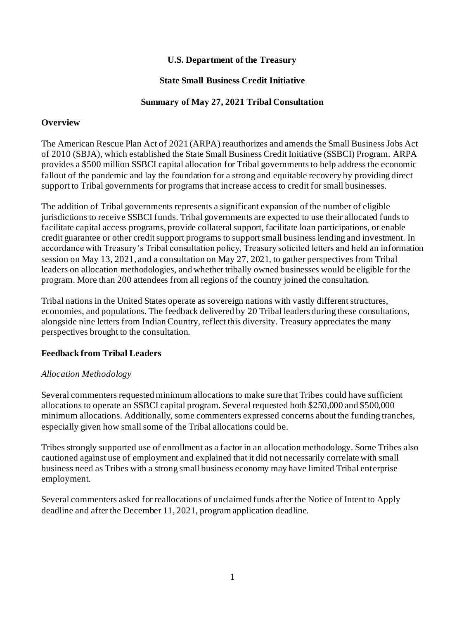# **U.S. Department of the Treasury**

# **State Small Business Credit Initiative**

### **Summary of May 27, 2021 Tribal Consultation**

#### **Overview**

The American Rescue Plan Act of 2021 (ARPA) reauthorizes and amends the Small Business Jobs Act of 2010 (SBJA), which established the State Small Business Credit Initiative (SSBCI) Program. ARPA provides a \$500 million SSBCI capital allocation for Tribal governments to help address the economic fallout of the pandemic and lay the foundation for a strong and equitable recovery by providing direct support to Tribal governments for programs that increase access to credit for small businesses.

The addition of Tribal governments represents a significant expansion of the number of eligible jurisdictions to receive SSBCI funds. Tribal governments are expected to use their allocated funds to facilitate capital access programs, provide collateral support, facilitate loan participations, or enable credit guarantee or other credit support programs to support small business lending and investment. In accordance with Treasury's Tribal consultation policy, Treasury solicited letters and held an information session on May 13, 2021, and a consultation on May 27, 2021, to gather perspectives from Tribal leaders on allocation methodologies, and whether tribally owned businesses would be eligible for the program. More than 200 attendees from all regions of the country joined the consultation.

Tribal nations in the United States operate as sovereign nations with vastly different structures, economies, and populations. The feedback delivered by 20 Tribal leaders during these consultations, alongside nine letters from Indian Country, reflect this diversity. Treasury appreciates the many perspectives brought to the consultation.

### **Feedback from Tribal Leaders**

### *Allocation Methodology*

Several commenters requested minimum allocations to make sure that Tribes could have sufficient allocations to operate an SSBCI capital program. Several requested both \$250,000 and \$500,000 minimum allocations. Additionally, some commenters expressed concerns about the funding tranches, especially given how small some of the Tribal allocations could be.

Tribes strongly supported use of enrollment as a factor in an allocation methodology. Some Tribes also cautioned against use of employment and explained that it did not necessarily correlate with small business need as Tribes with a strong small business economy may have limited Tribal enterprise employment.

Several commenters asked for reallocations of unclaimed funds after the Notice of Intent to Apply deadline and after the December 11, 2021, program application deadline.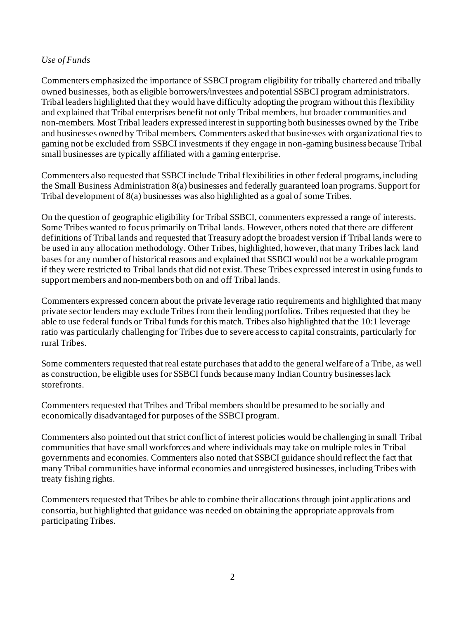# *Use of Funds*

Commenters emphasized the importance of SSBCI program eligibility for tribally chartered and tribally owned businesses, both as eligible borrowers/investees and potential SSBCI program administrators. Tribal leaders highlighted that they would have difficulty adopting the program without this flexibility and explained that Tribal enterprises benefit not only Tribal members, but broader communities and non-members. Most Tribal leaders expressed interest in supporting both businesses owned by the Tribe and businesses owned by Tribal members. Commenters asked that businesses with organizational ties to gaming not be excluded from SSBCI investments if they engage in non-gaming business because Tribal small businesses are typically affiliated with a gaming enterprise.

Commenters also requested that SSBCI include Tribal flexibilities in other federal programs, including the Small Business Administration 8(a) businesses and federally guaranteed loan programs. Support for Tribal development of 8(a) businesses was also highlighted as a goal of some Tribes.

On the question of geographic eligibility for Tribal SSBCI, commenters expressed a range of interests. Some Tribes wanted to focus primarily on Tribal lands. However, others noted that there are different definitions of Tribal lands and requested that Treasury adopt the broadest version if Tribal lands were to be used in any allocation methodology. Other Tribes, highlighted, however, that many Tribes lack land bases for any number of historical reasons and explained that SSBCI would not be a workable program if they were restricted to Tribal lands that did not exist. These Tribes expressed interest in using funds to support members and non-members both on and off Tribal lands.

Commenters expressed concern about the private leverage ratio requirements and highlighted that many private sector lenders may exclude Tribes from their lending portfolios. Tribes requested that they be able to use federal funds or Tribal funds for this match. Tribes also highlighted that the 10:1 leverage ratio was particularly challenging for Tribes due to severe access to capital constraints, particularly for rural Tribes.

Some commenters requested that real estate purchases that add to the general welfare of a Tribe, as well as construction, be eligible uses for SSBCI funds because many Indian Country businesses lack storefronts.

Commenters requested that Tribes and Tribal members should be presumed to be socially and economically disadvantaged for purposes of the SSBCI program.

Commenters also pointed out that strict conflict of interest policies would be challenging in small Tribal communities that have small workforces and where individuals may take on multiple roles in Tribal governments and economies. Commenters also noted that SSBCI guidance should reflect the fact that many Tribal communities have informal economies and unregistered businesses, including Tribes with treaty fishing rights.

Commenters requested that Tribes be able to combine their allocations through joint applications and consortia, but highlighted that guidance was needed on obtaining the appropriate approvals from participating Tribes.